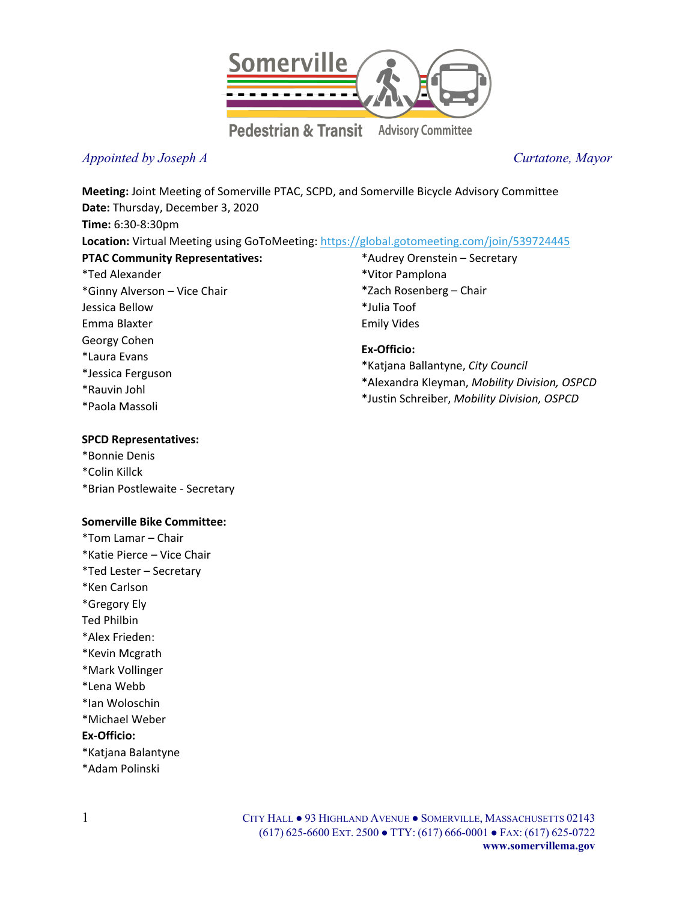

## *Appointed by Joseph A Curtatone, Mayor*

**Meeting:** Joint Meeting of Somerville PTAC, SCPD, and Somerville Bicycle Advisory Committee **Date:** Thursday, December 3, 2020 **Time:** 6:30-8:30pm **Location:** Virtual Meeting using GoToMeeting[: https://global.gotomeeting.com/join/539724445](https://global.gotomeeting.com/join/539724445) **PTAC Community Representatives:** \*Ted Alexander \*Ginny Alverson – Vice Chair Jessica Bellow Emma Blaxter Georgy Cohen \*Laura Evans \*Jessica Ferguson \*Rauvin Johl \*Paola Massoli \*Audrey Orenstein – Secretary \*Vitor Pamplona \*Zach Rosenberg – Chair \*Julia Toof Emily Vides **Ex-Officio:** \*Katjana Ballantyne, *City Council* \*Alexandra Kleyman, *Mobility Division, OSPCD* \*Justin Schreiber, *Mobility Division, OSPCD*

#### **SPCD Representatives:**

\*Bonnie Denis \*Colin Killck \*Brian Postlewaite - Secretary

### **Somerville Bike Committee:**

\*Tom Lamar – Chair \*Katie Pierce – Vice Chair \*Ted Lester – Secretary \*Ken Carlson \*Gregory Ely Ted Philbin \*Alex Frieden: \*Kevin Mcgrath \*Mark Vollinger \*Lena Webb \*Ian Woloschin \*Michael Weber **Ex-Officio:** \*Katjana Balantyne \*Adam Polinski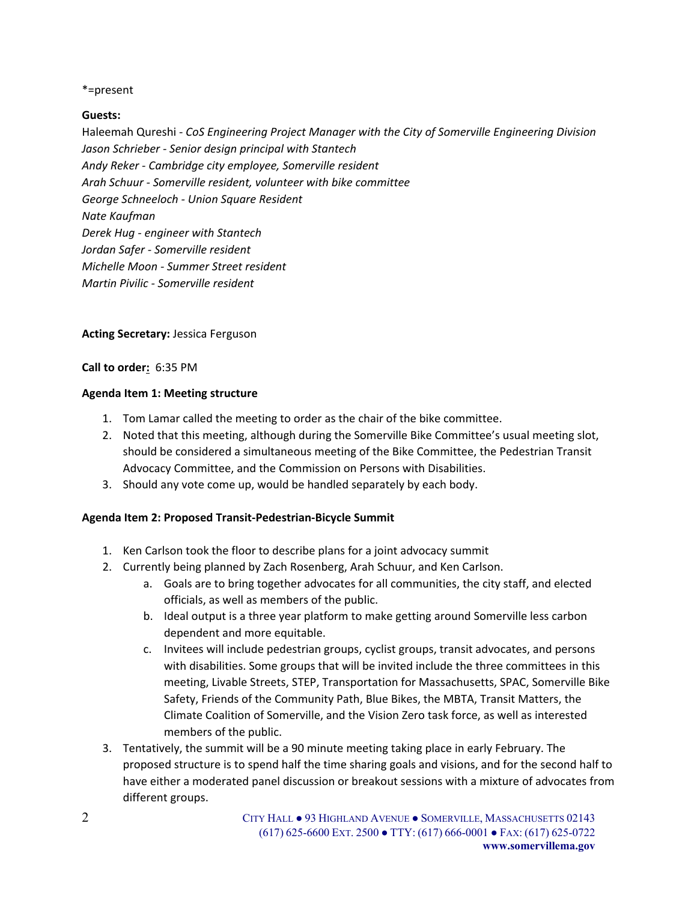#### \*=present

#### **Guests:**

Haleemah Qureshi - *CoS Engineering Project Manager with the City of Somerville Engineering Division Jason Schrieber - Senior design principal with Stantech Andy Reker - Cambridge city employee, Somerville resident Arah Schuur - Somerville resident, volunteer with bike committee George Schneeloch - Union Square Resident Nate Kaufman Derek Hug - engineer with Stantech Jordan Safer - Somerville resident Michelle Moon - Summer Street resident Martin Pivilic - Somerville resident*

#### **Acting Secretary:** Jessica Ferguson

#### **Call to order:** 6:35 PM

#### **Agenda Item 1: Meeting structure**

- 1. Tom Lamar called the meeting to order as the chair of the bike committee.
- 2. Noted that this meeting, although during the Somerville Bike Committee's usual meeting slot, should be considered a simultaneous meeting of the Bike Committee, the Pedestrian Transit Advocacy Committee, and the Commission on Persons with Disabilities.
- 3. Should any vote come up, would be handled separately by each body.

### **Agenda Item 2: Proposed Transit-Pedestrian-Bicycle Summit**

- 1. Ken Carlson took the floor to describe plans for a joint advocacy summit
- 2. Currently being planned by Zach Rosenberg, Arah Schuur, and Ken Carlson.
	- a. Goals are to bring together advocates for all communities, the city staff, and elected officials, as well as members of the public.
	- b. Ideal output is a three year platform to make getting around Somerville less carbon dependent and more equitable.
	- c. Invitees will include pedestrian groups, cyclist groups, transit advocates, and persons with disabilities. Some groups that will be invited include the three committees in this meeting, Livable Streets, STEP, Transportation for Massachusetts, SPAC, Somerville Bike Safety, Friends of the Community Path, Blue Bikes, the MBTA, Transit Matters, the Climate Coalition of Somerville, and the Vision Zero task force, as well as interested members of the public.
- 3. Tentatively, the summit will be a 90 minute meeting taking place in early February. The proposed structure is to spend half the time sharing goals and visions, and for the second half to have either a moderated panel discussion or breakout sessions with a mixture of advocates from different groups.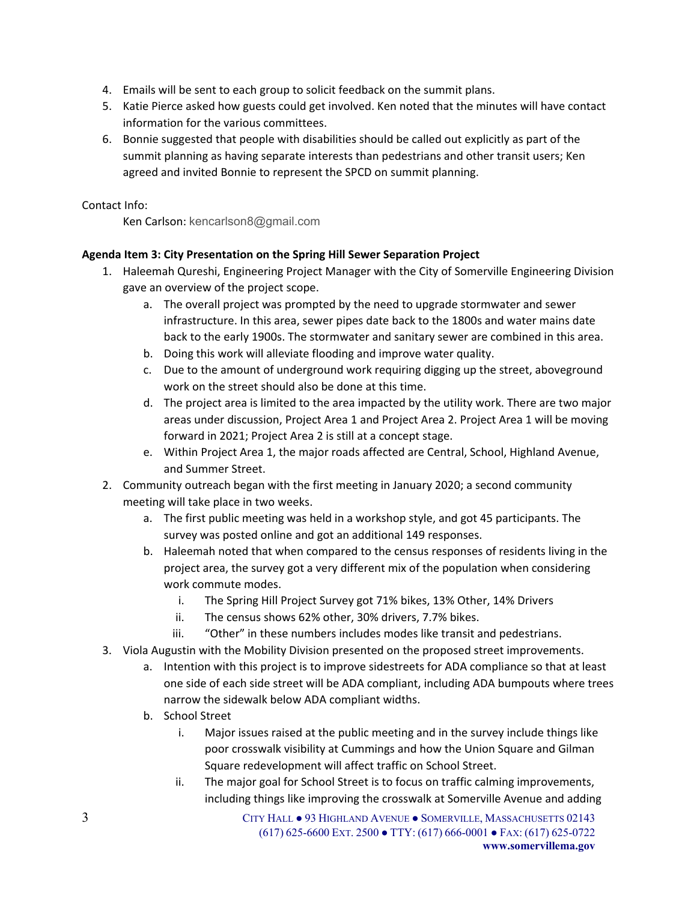- 4. Emails will be sent to each group to solicit feedback on the summit plans.
- 5. Katie Pierce asked how guests could get involved. Ken noted that the minutes will have contact information for the various committees.
- 6. Bonnie suggested that people with disabilities should be called out explicitly as part of the summit planning as having separate interests than pedestrians and other transit users; Ken agreed and invited Bonnie to represent the SPCD on summit planning.

Contact Info:

Ken Carlson: kencarlson8@gmail.com

### **Agenda Item 3: City Presentation on the Spring Hill Sewer Separation Project**

- 1. Haleemah Qureshi, Engineering Project Manager with the City of Somerville Engineering Division gave an overview of the project scope.
	- a. The overall project was prompted by the need to upgrade stormwater and sewer infrastructure. In this area, sewer pipes date back to the 1800s and water mains date back to the early 1900s. The stormwater and sanitary sewer are combined in this area.
	- b. Doing this work will alleviate flooding and improve water quality.
	- c. Due to the amount of underground work requiring digging up the street, aboveground work on the street should also be done at this time.
	- d. The project area is limited to the area impacted by the utility work. There are two major areas under discussion, Project Area 1 and Project Area 2. Project Area 1 will be moving forward in 2021; Project Area 2 is still at a concept stage.
	- e. Within Project Area 1, the major roads affected are Central, School, Highland Avenue, and Summer Street.
- 2. Community outreach began with the first meeting in January 2020; a second community meeting will take place in two weeks.
	- a. The first public meeting was held in a workshop style, and got 45 participants. The survey was posted online and got an additional 149 responses.
	- b. Haleemah noted that when compared to the census responses of residents living in the project area, the survey got a very different mix of the population when considering work commute modes.
		- i. The Spring Hill Project Survey got 71% bikes, 13% Other, 14% Drivers
		- ii. The census shows 62% other, 30% drivers, 7.7% bikes.
		- iii. "Other" in these numbers includes modes like transit and pedestrians.
- 3. Viola Augustin with the Mobility Division presented on the proposed street improvements.
	- a. Intention with this project is to improve sidestreets for ADA compliance so that at least one side of each side street will be ADA compliant, including ADA bumpouts where trees narrow the sidewalk below ADA compliant widths.
	- b. School Street
		- i. Major issues raised at the public meeting and in the survey include things like poor crosswalk visibility at Cummings and how the Union Square and Gilman Square redevelopment will affect traffic on School Street.
		- ii. The major goal for School Street is to focus on traffic calming improvements, including things like improving the crosswalk at Somerville Avenue and adding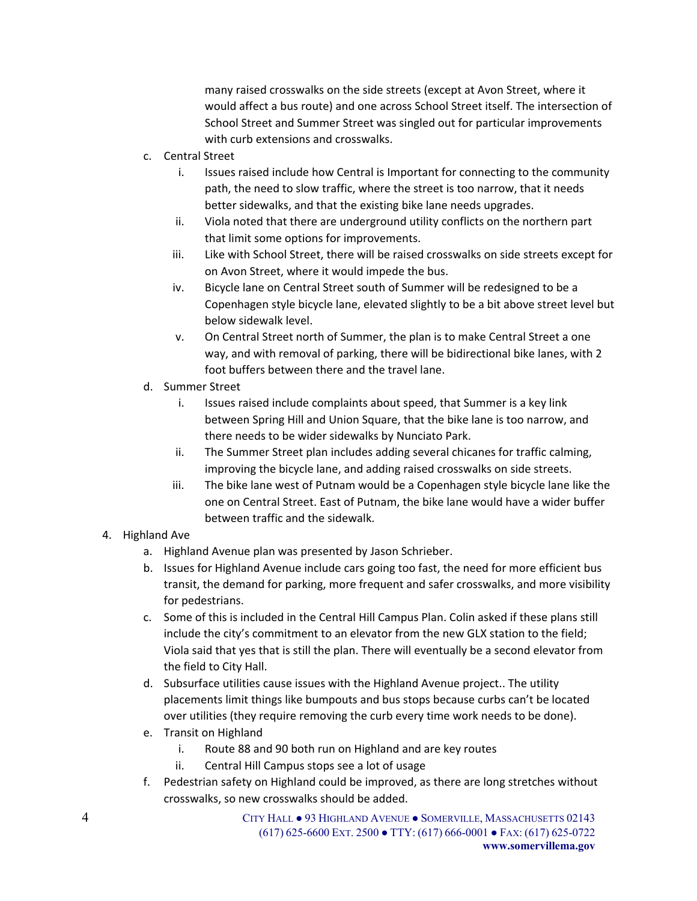many raised crosswalks on the side streets (except at Avon Street, where it would affect a bus route) and one across School Street itself. The intersection of School Street and Summer Street was singled out for particular improvements with curb extensions and crosswalks.

- c. Central Street
	- i. Issues raised include how Central is Important for connecting to the community path, the need to slow traffic, where the street is too narrow, that it needs better sidewalks, and that the existing bike lane needs upgrades.
	- ii. Viola noted that there are underground utility conflicts on the northern part that limit some options for improvements.
	- iii. Like with School Street, there will be raised crosswalks on side streets except for on Avon Street, where it would impede the bus.
	- iv. Bicycle lane on Central Street south of Summer will be redesigned to be a Copenhagen style bicycle lane, elevated slightly to be a bit above street level but below sidewalk level.
	- v. On Central Street north of Summer, the plan is to make Central Street a one way, and with removal of parking, there will be bidirectional bike lanes, with 2 foot buffers between there and the travel lane.
- d. Summer Street
	- i. Issues raised include complaints about speed, that Summer is a key link between Spring Hill and Union Square, that the bike lane is too narrow, and there needs to be wider sidewalks by Nunciato Park.
	- ii. The Summer Street plan includes adding several chicanes for traffic calming, improving the bicycle lane, and adding raised crosswalks on side streets.
	- iii. The bike lane west of Putnam would be a Copenhagen style bicycle lane like the one on Central Street. East of Putnam, the bike lane would have a wider buffer between traffic and the sidewalk.
- 4. Highland Ave
	- a. Highland Avenue plan was presented by Jason Schrieber.
	- b. Issues for Highland Avenue include cars going too fast, the need for more efficient bus transit, the demand for parking, more frequent and safer crosswalks, and more visibility for pedestrians.
	- c. Some of this is included in the Central Hill Campus Plan. Colin asked if these plans still include the city's commitment to an elevator from the new GLX station to the field; Viola said that yes that is still the plan. There will eventually be a second elevator from the field to City Hall.
	- d. Subsurface utilities cause issues with the Highland Avenue project.. The utility placements limit things like bumpouts and bus stops because curbs can't be located over utilities (they require removing the curb every time work needs to be done).
	- e. Transit on Highland
		- i. Route 88 and 90 both run on Highland and are key routes
		- ii. Central Hill Campus stops see a lot of usage
	- f. Pedestrian safety on Highland could be improved, as there are long stretches without crosswalks, so new crosswalks should be added.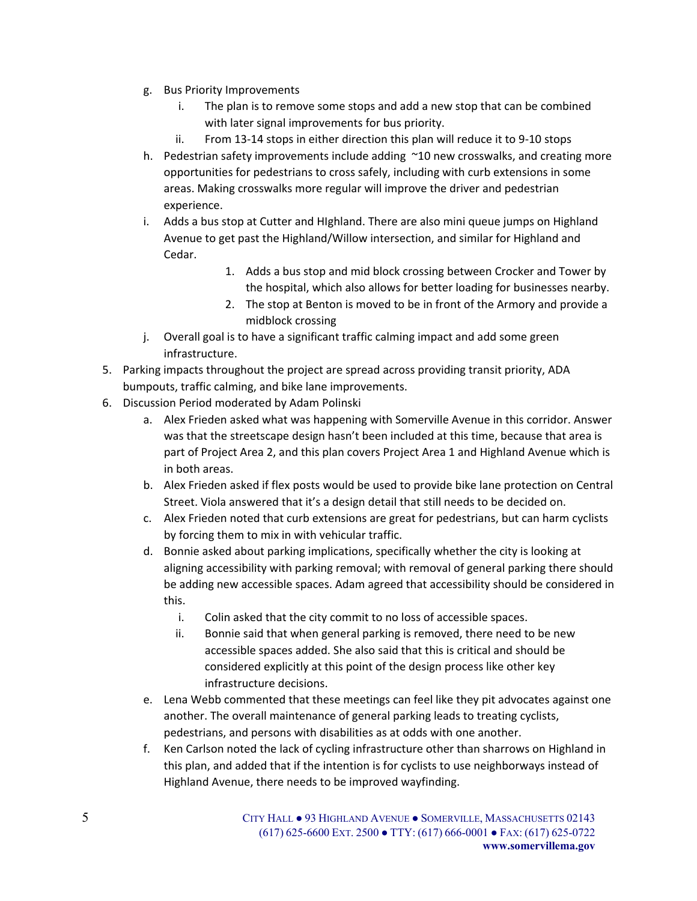- g. Bus Priority Improvements
	- i. The plan is to remove some stops and add a new stop that can be combined with later signal improvements for bus priority.
	- ii. From 13-14 stops in either direction this plan will reduce it to 9-10 stops
- h. Pedestrian safety improvements include adding ~10 new crosswalks, and creating more opportunities for pedestrians to cross safely, including with curb extensions in some areas. Making crosswalks more regular will improve the driver and pedestrian experience.
- i. Adds a bus stop at Cutter and HIghland. There are also mini queue jumps on Highland Avenue to get past the Highland/Willow intersection, and similar for Highland and Cedar.
	- 1. Adds a bus stop and mid block crossing between Crocker and Tower by the hospital, which also allows for better loading for businesses nearby.
	- 2. The stop at Benton is moved to be in front of the Armory and provide a midblock crossing
- j. Overall goal is to have a significant traffic calming impact and add some green infrastructure.
- 5. Parking impacts throughout the project are spread across providing transit priority, ADA bumpouts, traffic calming, and bike lane improvements.
- 6. Discussion Period moderated by Adam Polinski
	- a. Alex Frieden asked what was happening with Somerville Avenue in this corridor. Answer was that the streetscape design hasn't been included at this time, because that area is part of Project Area 2, and this plan covers Project Area 1 and Highland Avenue which is in both areas.
	- b. Alex Frieden asked if flex posts would be used to provide bike lane protection on Central Street. Viola answered that it's a design detail that still needs to be decided on.
	- c. Alex Frieden noted that curb extensions are great for pedestrians, but can harm cyclists by forcing them to mix in with vehicular traffic.
	- d. Bonnie asked about parking implications, specifically whether the city is looking at aligning accessibility with parking removal; with removal of general parking there should be adding new accessible spaces. Adam agreed that accessibility should be considered in this.
		- i. Colin asked that the city commit to no loss of accessible spaces.
		- ii. Bonnie said that when general parking is removed, there need to be new accessible spaces added. She also said that this is critical and should be considered explicitly at this point of the design process like other key infrastructure decisions.
	- e. Lena Webb commented that these meetings can feel like they pit advocates against one another. The overall maintenance of general parking leads to treating cyclists, pedestrians, and persons with disabilities as at odds with one another.
	- f. Ken Carlson noted the lack of cycling infrastructure other than sharrows on Highland in this plan, and added that if the intention is for cyclists to use neighborways instead of Highland Avenue, there needs to be improved wayfinding.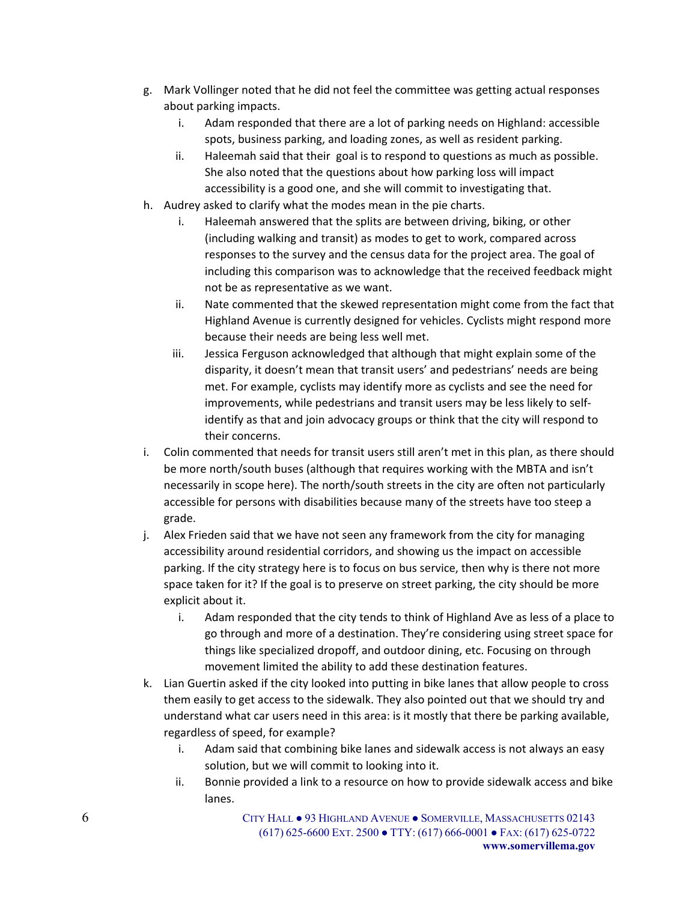- g. Mark Vollinger noted that he did not feel the committee was getting actual responses about parking impacts.
	- i. Adam responded that there are a lot of parking needs on Highland: accessible spots, business parking, and loading zones, as well as resident parking.
	- ii. Haleemah said that their goal is to respond to questions as much as possible. She also noted that the questions about how parking loss will impact accessibility is a good one, and she will commit to investigating that.
- h. Audrey asked to clarify what the modes mean in the pie charts.
	- i. Haleemah answered that the splits are between driving, biking, or other (including walking and transit) as modes to get to work, compared across responses to the survey and the census data for the project area. The goal of including this comparison was to acknowledge that the received feedback might not be as representative as we want.
	- ii. Nate commented that the skewed representation might come from the fact that Highland Avenue is currently designed for vehicles. Cyclists might respond more because their needs are being less well met.
	- iii. Jessica Ferguson acknowledged that although that might explain some of the disparity, it doesn't mean that transit users' and pedestrians' needs are being met. For example, cyclists may identify more as cyclists and see the need for improvements, while pedestrians and transit users may be less likely to selfidentify as that and join advocacy groups or think that the city will respond to their concerns.
- i. Colin commented that needs for transit users still aren't met in this plan, as there should be more north/south buses (although that requires working with the MBTA and isn't necessarily in scope here). The north/south streets in the city are often not particularly accessible for persons with disabilities because many of the streets have too steep a grade.
- j. Alex Frieden said that we have not seen any framework from the city for managing accessibility around residential corridors, and showing us the impact on accessible parking. If the city strategy here is to focus on bus service, then why is there not more space taken for it? If the goal is to preserve on street parking, the city should be more explicit about it.
	- i. Adam responded that the city tends to think of Highland Ave as less of a place to go through and more of a destination. They're considering using street space for things like specialized dropoff, and outdoor dining, etc. Focusing on through movement limited the ability to add these destination features.
- k. Lian Guertin asked if the city looked into putting in bike lanes that allow people to cross them easily to get access to the sidewalk. They also pointed out that we should try and understand what car users need in this area: is it mostly that there be parking available, regardless of speed, for example?
	- i. Adam said that combining bike lanes and sidewalk access is not always an easy solution, but we will commit to looking into it.
	- ii. Bonnie provided a link to a resource on how to provide sidewalk access and bike lanes.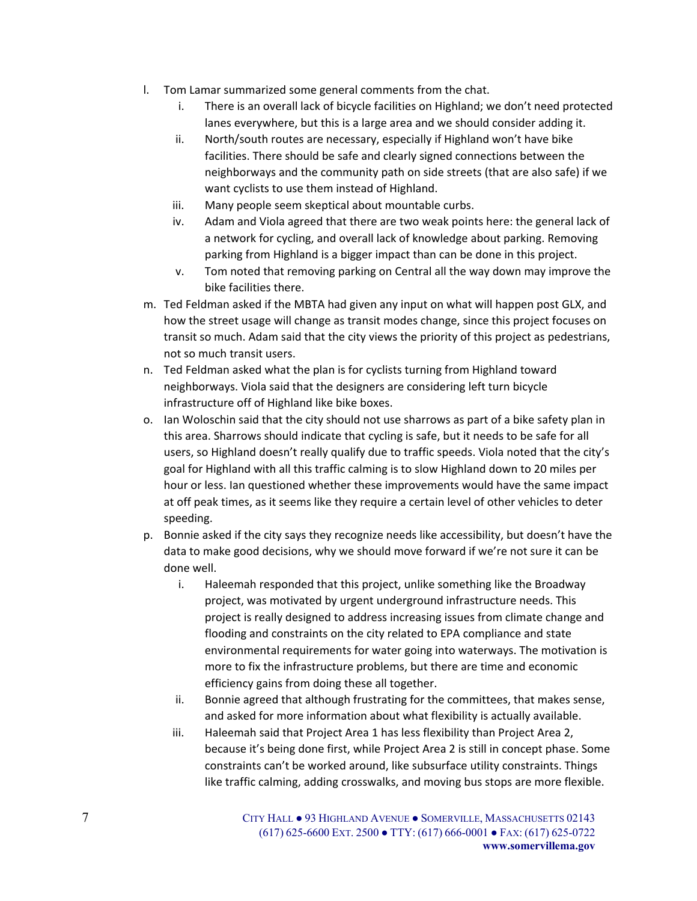- l. Tom Lamar summarized some general comments from the chat.
	- i. There is an overall lack of bicycle facilities on Highland; we don't need protected lanes everywhere, but this is a large area and we should consider adding it.
	- ii. North/south routes are necessary, especially if Highland won't have bike facilities. There should be safe and clearly signed connections between the neighborways and the community path on side streets (that are also safe) if we want cyclists to use them instead of Highland.
	- iii. Many people seem skeptical about mountable curbs.
	- iv. Adam and Viola agreed that there are two weak points here: the general lack of a network for cycling, and overall lack of knowledge about parking. Removing parking from Highland is a bigger impact than can be done in this project.
	- v. Tom noted that removing parking on Central all the way down may improve the bike facilities there.
- m. Ted Feldman asked if the MBTA had given any input on what will happen post GLX, and how the street usage will change as transit modes change, since this project focuses on transit so much. Adam said that the city views the priority of this project as pedestrians, not so much transit users.
- n. Ted Feldman asked what the plan is for cyclists turning from Highland toward neighborways. Viola said that the designers are considering left turn bicycle infrastructure off of Highland like bike boxes.
- o. Ian Woloschin said that the city should not use sharrows as part of a bike safety plan in this area. Sharrows should indicate that cycling is safe, but it needs to be safe for all users, so Highland doesn't really qualify due to traffic speeds. Viola noted that the city's goal for Highland with all this traffic calming is to slow Highland down to 20 miles per hour or less. Ian questioned whether these improvements would have the same impact at off peak times, as it seems like they require a certain level of other vehicles to deter speeding.
- p. Bonnie asked if the city says they recognize needs like accessibility, but doesn't have the data to make good decisions, why we should move forward if we're not sure it can be done well.
	- i. Haleemah responded that this project, unlike something like the Broadway project, was motivated by urgent underground infrastructure needs. This project is really designed to address increasing issues from climate change and flooding and constraints on the city related to EPA compliance and state environmental requirements for water going into waterways. The motivation is more to fix the infrastructure problems, but there are time and economic efficiency gains from doing these all together.
	- ii. Bonnie agreed that although frustrating for the committees, that makes sense, and asked for more information about what flexibility is actually available.
	- iii. Haleemah said that Project Area 1 has less flexibility than Project Area 2, because it's being done first, while Project Area 2 is still in concept phase. Some constraints can't be worked around, like subsurface utility constraints. Things like traffic calming, adding crosswalks, and moving bus stops are more flexible.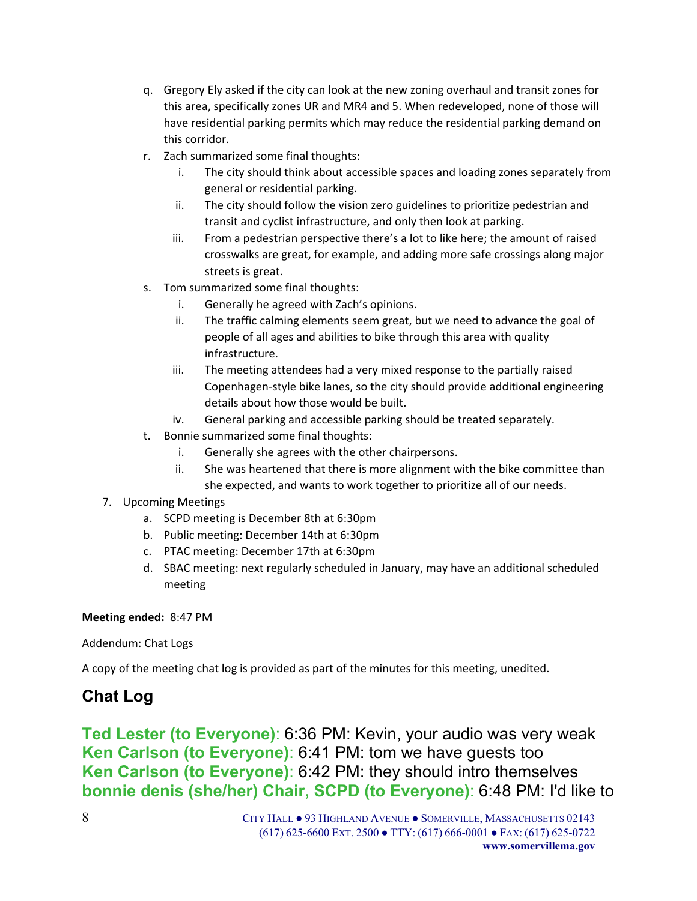- q. Gregory Ely asked if the city can look at the new zoning overhaul and transit zones for this area, specifically zones UR and MR4 and 5. When redeveloped, none of those will have residential parking permits which may reduce the residential parking demand on this corridor.
- r. Zach summarized some final thoughts:
	- i. The city should think about accessible spaces and loading zones separately from general or residential parking.
	- ii. The city should follow the vision zero guidelines to prioritize pedestrian and transit and cyclist infrastructure, and only then look at parking.
	- iii. From a pedestrian perspective there's a lot to like here; the amount of raised crosswalks are great, for example, and adding more safe crossings along major streets is great.
- s. Tom summarized some final thoughts:
	- i. Generally he agreed with Zach's opinions.
	- ii. The traffic calming elements seem great, but we need to advance the goal of people of all ages and abilities to bike through this area with quality infrastructure.
	- iii. The meeting attendees had a very mixed response to the partially raised Copenhagen-style bike lanes, so the city should provide additional engineering details about how those would be built.
	- iv. General parking and accessible parking should be treated separately.
- t. Bonnie summarized some final thoughts:
	- i. Generally she agrees with the other chairpersons.
	- ii. She was heartened that there is more alignment with the bike committee than she expected, and wants to work together to prioritize all of our needs.
- 7. Upcoming Meetings
	- a. SCPD meeting is December 8th at 6:30pm
	- b. Public meeting: December 14th at 6:30pm
	- c. PTAC meeting: December 17th at 6:30pm
	- d. SBAC meeting: next regularly scheduled in January, may have an additional scheduled meeting

**Meeting ended:** 8:47 PM

Addendum: Chat Logs

A copy of the meeting chat log is provided as part of the minutes for this meeting, unedited.

# **Chat Log**

**Ted Lester (to Everyone)**: 6:36 PM: Kevin, your audio was very weak **Ken Carlson (to Everyone)**: 6:41 PM: tom we have guests too **Ken Carlson (to Everyone)**: 6:42 PM: they should intro themselves **bonnie denis (she/her) Chair, SCPD (to Everyone)**: 6:48 PM: I'd like to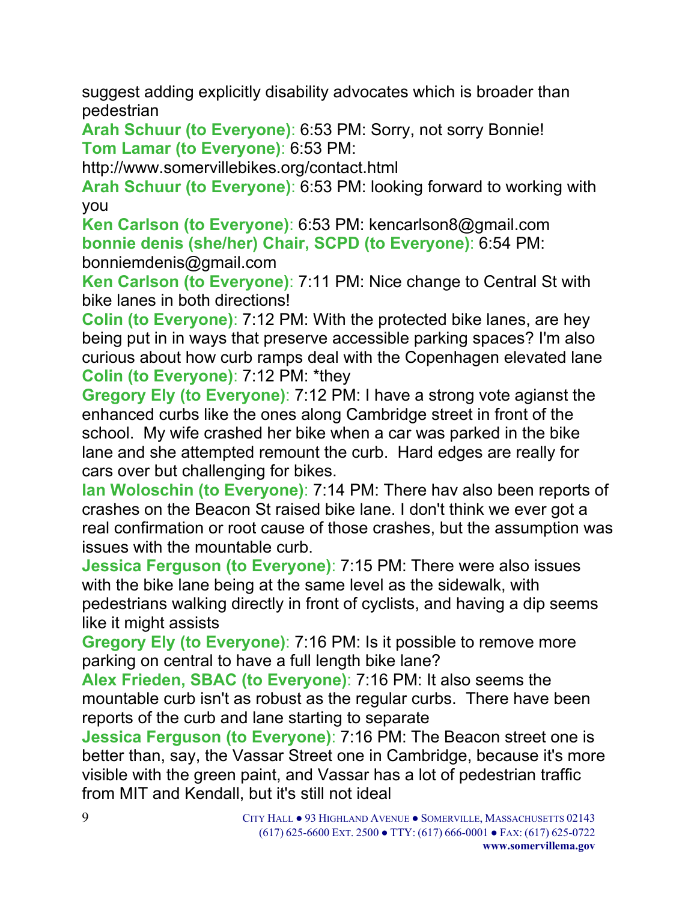suggest adding explicitly disability advocates which is broader than pedestrian

**Arah Schuur (to Everyone)**: 6:53 PM: Sorry, not sorry Bonnie! **Tom Lamar (to Everyone)**: 6:53 PM:

http://www.somervillebikes.org/contact.html

**Arah Schuur (to Everyone)**: 6:53 PM: looking forward to working with you

**Ken Carlson (to Everyone)**: 6:53 PM: kencarlson8@gmail.com **bonnie denis (she/her) Chair, SCPD (to Everyone)**: 6:54 PM: bonniemdenis@gmail.com

**Ken Carlson (to Everyone)**: 7:11 PM: Nice change to Central St with bike lanes in both directions!

**Colin (to Everyone)**: 7:12 PM: With the protected bike lanes, are hey being put in in ways that preserve accessible parking spaces? I'm also curious about how curb ramps deal with the Copenhagen elevated lane **Colin (to Everyone)**: 7:12 PM: \*they

**Gregory Ely (to Everyone)**: 7:12 PM: I have a strong vote agianst the enhanced curbs like the ones along Cambridge street in front of the school. My wife crashed her bike when a car was parked in the bike lane and she attempted remount the curb. Hard edges are really for cars over but challenging for bikes.

**Ian Woloschin (to Everyone)**: 7:14 PM: There hav also been reports of crashes on the Beacon St raised bike lane. I don't think we ever got a real confirmation or root cause of those crashes, but the assumption was issues with the mountable curb.

**Jessica Ferguson (to Everyone)**: 7:15 PM: There were also issues with the bike lane being at the same level as the sidewalk, with pedestrians walking directly in front of cyclists, and having a dip seems like it might assists

**Gregory Ely (to Everyone)**: 7:16 PM: Is it possible to remove more parking on central to have a full length bike lane?

**Alex Frieden, SBAC (to Everyone)**: 7:16 PM: It also seems the mountable curb isn't as robust as the regular curbs. There have been reports of the curb and lane starting to separate

**Jessica Ferguson (to Everyone)**: 7:16 PM: The Beacon street one is better than, say, the Vassar Street one in Cambridge, because it's more visible with the green paint, and Vassar has a lot of pedestrian traffic from MIT and Kendall, but it's still not ideal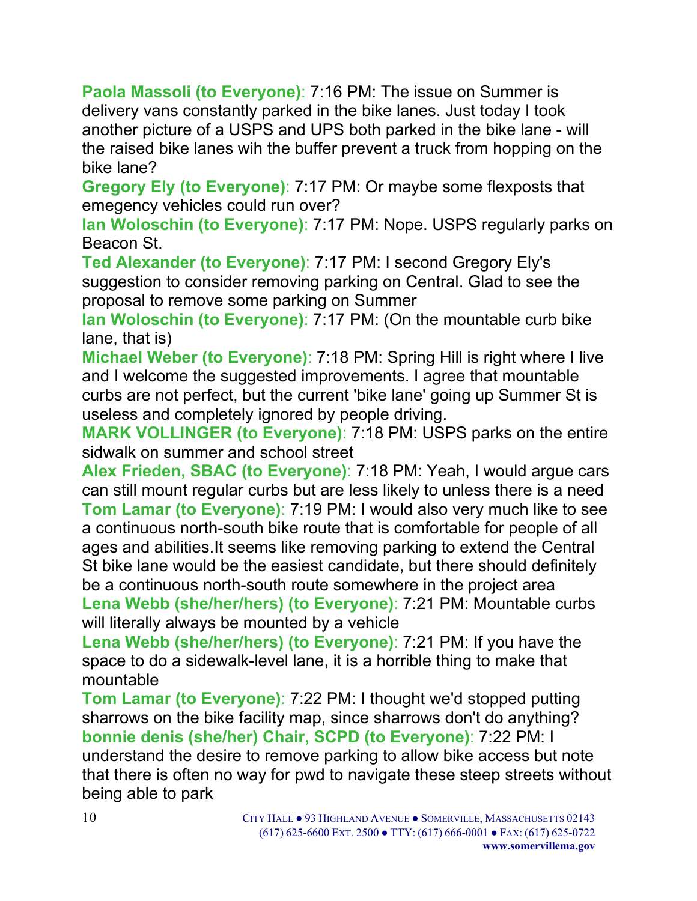**Paola Massoli (to Everyone)**: 7:16 PM: The issue on Summer is delivery vans constantly parked in the bike lanes. Just today I took another picture of a USPS and UPS both parked in the bike lane - will the raised bike lanes wih the buffer prevent a truck from hopping on the bike lane?

**Gregory Ely (to Everyone)**: 7:17 PM: Or maybe some flexposts that emegency vehicles could run over?

**Ian Woloschin (to Everyone)**: 7:17 PM: Nope. USPS regularly parks on Beacon St.

**Ted Alexander (to Everyone)**: 7:17 PM: I second Gregory Ely's suggestion to consider removing parking on Central. Glad to see the proposal to remove some parking on Summer

**Ian Woloschin (to Everyone)**: 7:17 PM: (On the mountable curb bike lane, that is)

**Michael Weber (to Everyone)**: 7:18 PM: Spring Hill is right where I live and I welcome the suggested improvements. I agree that mountable curbs are not perfect, but the current 'bike lane' going up Summer St is useless and completely ignored by people driving.

**MARK VOLLINGER (to Everyone)**: 7:18 PM: USPS parks on the entire sidwalk on summer and school street

**Alex Frieden, SBAC (to Everyone)**: 7:18 PM: Yeah, I would argue cars can still mount regular curbs but are less likely to unless there is a need **Tom Lamar (to Everyone)**: 7:19 PM: I would also very much like to see a continuous north-south bike route that is comfortable for people of all ages and abilities.It seems like removing parking to extend the Central St bike lane would be the easiest candidate, but there should definitely be a continuous north-south route somewhere in the project area **Lena Webb (she/her/hers) (to Everyone)**: 7:21 PM: Mountable curbs will literally always be mounted by a vehicle

**Lena Webb (she/her/hers) (to Everyone)**: 7:21 PM: If you have the space to do a sidewalk-level lane, it is a horrible thing to make that mountable

**Tom Lamar (to Everyone)**: 7:22 PM: I thought we'd stopped putting sharrows on the bike facility map, since sharrows don't do anything? **bonnie denis (she/her) Chair, SCPD (to Everyone)**: 7:22 PM: I understand the desire to remove parking to allow bike access but note that there is often no way for pwd to navigate these steep streets without being able to park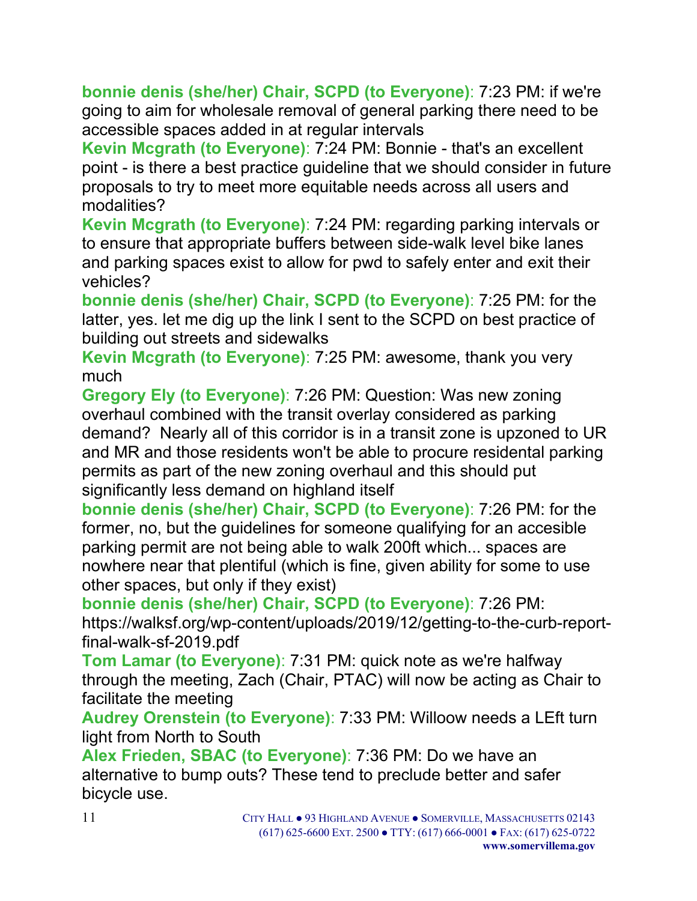**bonnie denis (she/her) Chair, SCPD (to Everyone)**: 7:23 PM: if we're going to aim for wholesale removal of general parking there need to be accessible spaces added in at regular intervals

**Kevin Mcgrath (to Everyone)**: 7:24 PM: Bonnie - that's an excellent point - is there a best practice guideline that we should consider in future proposals to try to meet more equitable needs across all users and modalities?

**Kevin Mcgrath (to Everyone)**: 7:24 PM: regarding parking intervals or to ensure that appropriate buffers between side-walk level bike lanes and parking spaces exist to allow for pwd to safely enter and exit their vehicles?

**bonnie denis (she/her) Chair, SCPD (to Everyone)**: 7:25 PM: for the latter, yes. let me dig up the link I sent to the SCPD on best practice of building out streets and sidewalks

**Kevin Mcgrath (to Everyone)**: 7:25 PM: awesome, thank you very much

**Gregory Ely (to Everyone)**: 7:26 PM: Question: Was new zoning overhaul combined with the transit overlay considered as parking demand? Nearly all of this corridor is in a transit zone is upzoned to UR and MR and those residents won't be able to procure residental parking permits as part of the new zoning overhaul and this should put significantly less demand on highland itself

**bonnie denis (she/her) Chair, SCPD (to Everyone)**: 7:26 PM: for the former, no, but the guidelines for someone qualifying for an accesible parking permit are not being able to walk 200ft which... spaces are nowhere near that plentiful (which is fine, given ability for some to use other spaces, but only if they exist)

**bonnie denis (she/her) Chair, SCPD (to Everyone)**: 7:26 PM: https://walksf.org/wp-content/uploads/2019/12/getting-to-the-curb-reportfinal-walk-sf-2019.pdf

**Tom Lamar (to Everyone)**: 7:31 PM: quick note as we're halfway through the meeting, Zach (Chair, PTAC) will now be acting as Chair to facilitate the meeting

**Audrey Orenstein (to Everyone)**: 7:33 PM: Willoow needs a LEft turn light from North to South

**Alex Frieden, SBAC (to Everyone)**: 7:36 PM: Do we have an alternative to bump outs? These tend to preclude better and safer bicycle use.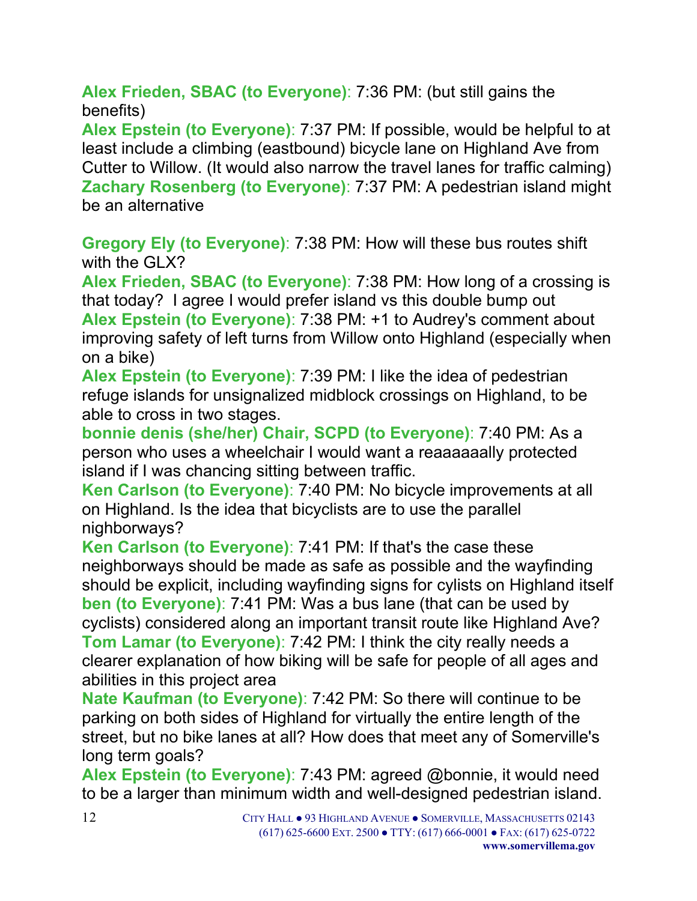**Alex Frieden, SBAC (to Everyone)**: 7:36 PM: (but still gains the benefits)

**Alex Epstein (to Everyone)**: 7:37 PM: If possible, would be helpful to at least include a climbing (eastbound) bicycle lane on Highland Ave from Cutter to Willow. (It would also narrow the travel lanes for traffic calming) **Zachary Rosenberg (to Everyone)**: 7:37 PM: A pedestrian island might be an alternative

**Gregory Ely (to Everyone)**: 7:38 PM: How will these bus routes shift with the GLX?

**Alex Frieden, SBAC (to Everyone)**: 7:38 PM: How long of a crossing is that today? I agree I would prefer island vs this double bump out **Alex Epstein (to Everyone)**: 7:38 PM: +1 to Audrey's comment about improving safety of left turns from Willow onto Highland (especially when on a bike)

**Alex Epstein (to Everyone)**: 7:39 PM: I like the idea of pedestrian refuge islands for unsignalized midblock crossings on Highland, to be able to cross in two stages.

**bonnie denis (she/her) Chair, SCPD (to Everyone)**: 7:40 PM: As a person who uses a wheelchair I would want a reaaaaaally protected island if I was chancing sitting between traffic.

**Ken Carlson (to Everyone)**: 7:40 PM: No bicycle improvements at all on Highland. Is the idea that bicyclists are to use the parallel nighborways?

**Ken Carlson (to Everyone)**: 7:41 PM: If that's the case these neighborways should be made as safe as possible and the wayfinding should be explicit, including wayfinding signs for cylists on Highland itself **ben (to Everyone)**: 7:41 PM: Was a bus lane (that can be used by cyclists) considered along an important transit route like Highland Ave? **Tom Lamar (to Everyone)**: 7:42 PM: I think the city really needs a clearer explanation of how biking will be safe for people of all ages and abilities in this project area

**Nate Kaufman (to Everyone)**: 7:42 PM: So there will continue to be parking on both sides of Highland for virtually the entire length of the street, but no bike lanes at all? How does that meet any of Somerville's long term goals?

**Alex Epstein (to Everyone)**: 7:43 PM: agreed @bonnie, it would need to be a larger than minimum width and well-designed pedestrian island.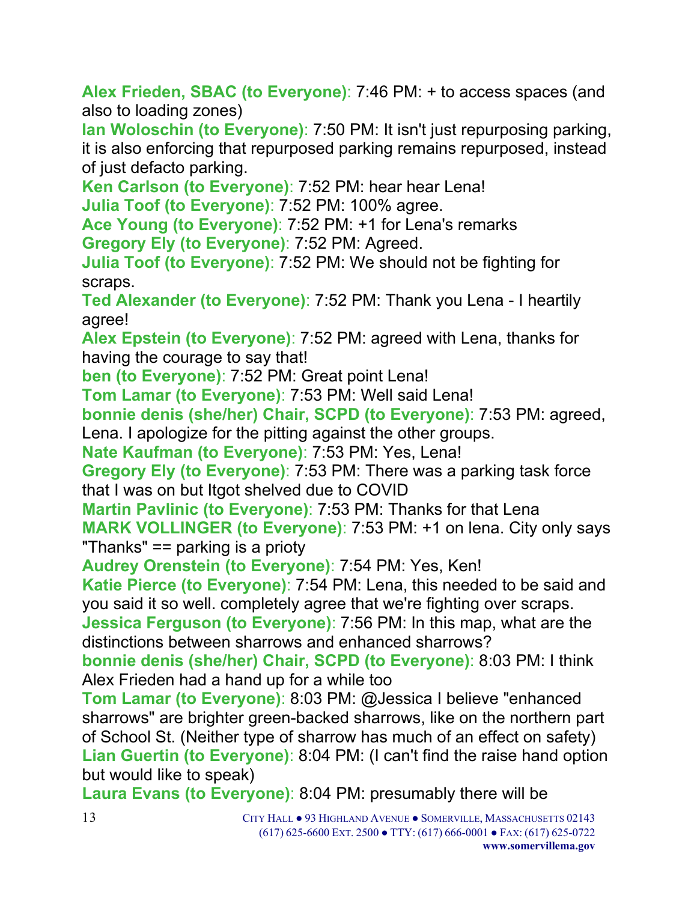**Alex Frieden, SBAC (to Everyone)**: 7:46 PM: + to access spaces (and also to loading zones)

**Ian Woloschin (to Everyone)**: 7:50 PM: It isn't just repurposing parking, it is also enforcing that repurposed parking remains repurposed, instead of just defacto parking.

**Ken Carlson (to Everyone)**: 7:52 PM: hear hear Lena!

**Julia Toof (to Everyone)**: 7:52 PM: 100% agree.

**Ace Young (to Everyone)**: 7:52 PM: +1 for Lena's remarks **Gregory Ely (to Everyone)**: 7:52 PM: Agreed.

**Julia Toof (to Everyone)**: 7:52 PM: We should not be fighting for scraps.

**Ted Alexander (to Everyone)**: 7:52 PM: Thank you Lena - I heartily agree!

**Alex Epstein (to Everyone)**: 7:52 PM: agreed with Lena, thanks for having the courage to say that!

**ben (to Everyone)**: 7:52 PM: Great point Lena!

**Tom Lamar (to Everyone)**: 7:53 PM: Well said Lena!

**bonnie denis (she/her) Chair, SCPD (to Everyone)**: 7:53 PM: agreed, Lena. I apologize for the pitting against the other groups.

**Nate Kaufman (to Everyone)**: 7:53 PM: Yes, Lena!

**Gregory Ely (to Everyone)**: 7:53 PM: There was a parking task force that I was on but Itgot shelved due to COVID

**Martin Pavlinic (to Everyone)**: 7:53 PM: Thanks for that Lena **MARK VOLLINGER (to Everyone)**: 7:53 PM: +1 on lena. City only says "Thanks" == parking is a prioty

**Audrey Orenstein (to Everyone)**: 7:54 PM: Yes, Ken!

**Katie Pierce (to Everyone)**: 7:54 PM: Lena, this needed to be said and you said it so well. completely agree that we're fighting over scraps. **Jessica Ferguson (to Everyone)**: 7:56 PM: In this map, what are the

distinctions between sharrows and enhanced sharrows?

**bonnie denis (she/her) Chair, SCPD (to Everyone)**: 8:03 PM: I think Alex Frieden had a hand up for a while too

**Tom Lamar (to Everyone)**: 8:03 PM: @Jessica I believe "enhanced sharrows" are brighter green-backed sharrows, like on the northern part of School St. (Neither type of sharrow has much of an effect on safety) **Lian Guertin (to Everyone)**: 8:04 PM: (I can't find the raise hand option but would like to speak)

**Laura Evans (to Everyone)**: 8:04 PM: presumably there will be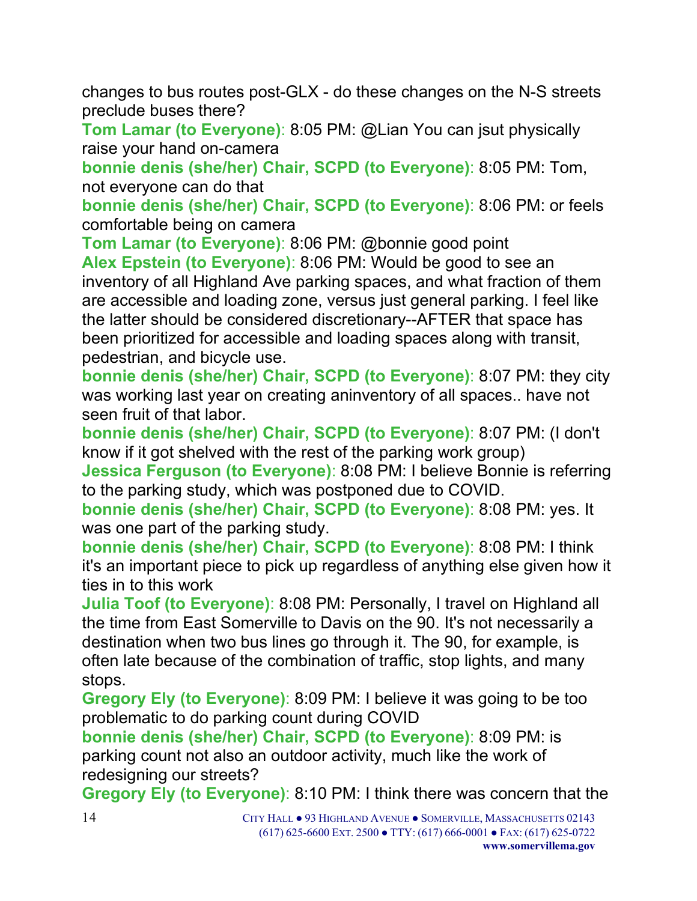changes to bus routes post-GLX - do these changes on the N-S streets preclude buses there?

**Tom Lamar (to Everyone)**: 8:05 PM: @Lian You can jsut physically raise your hand on-camera

**bonnie denis (she/her) Chair, SCPD (to Everyone)**: 8:05 PM: Tom, not everyone can do that

**bonnie denis (she/her) Chair, SCPD (to Everyone)**: 8:06 PM: or feels comfortable being on camera

**Tom Lamar (to Everyone)**: 8:06 PM: @bonnie good point **Alex Epstein (to Everyone)**: 8:06 PM: Would be good to see an inventory of all Highland Ave parking spaces, and what fraction of them are accessible and loading zone, versus just general parking. I feel like the latter should be considered discretionary--AFTER that space has been prioritized for accessible and loading spaces along with transit, pedestrian, and bicycle use.

**bonnie denis (she/her) Chair, SCPD (to Everyone)**: 8:07 PM: they city was working last year on creating aninventory of all spaces.. have not seen fruit of that labor.

**bonnie denis (she/her) Chair, SCPD (to Everyone)**: 8:07 PM: (I don't know if it got shelved with the rest of the parking work group) **Jessica Ferguson (to Everyone)**: 8:08 PM: I believe Bonnie is referring to the parking study, which was postponed due to COVID.

**bonnie denis (she/her) Chair, SCPD (to Everyone)**: 8:08 PM: yes. It was one part of the parking study.

**bonnie denis (she/her) Chair, SCPD (to Everyone)**: 8:08 PM: I think it's an important piece to pick up regardless of anything else given how it ties in to this work

**Julia Toof (to Everyone)**: 8:08 PM: Personally, I travel on Highland all the time from East Somerville to Davis on the 90. It's not necessarily a destination when two bus lines go through it. The 90, for example, is often late because of the combination of traffic, stop lights, and many stops.

**Gregory Ely (to Everyone)**: 8:09 PM: I believe it was going to be too problematic to do parking count during COVID

**bonnie denis (she/her) Chair, SCPD (to Everyone)**: 8:09 PM: is parking count not also an outdoor activity, much like the work of redesigning our streets?

**Gregory Ely (to Everyone)**: 8:10 PM: I think there was concern that the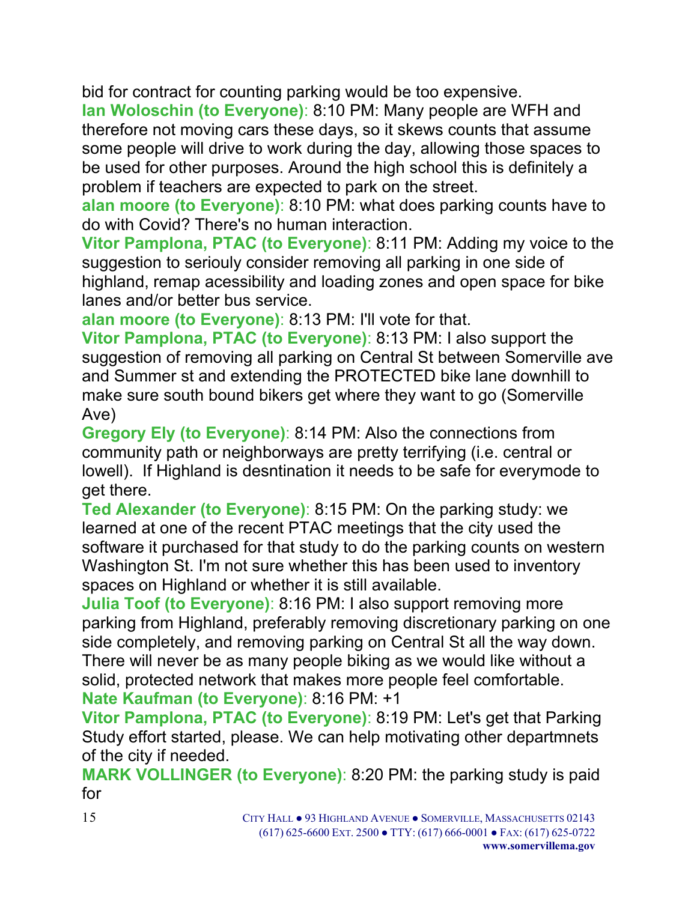bid for contract for counting parking would be too expensive.

**Ian Woloschin (to Everyone)**: 8:10 PM: Many people are WFH and therefore not moving cars these days, so it skews counts that assume some people will drive to work during the day, allowing those spaces to be used for other purposes. Around the high school this is definitely a problem if teachers are expected to park on the street.

**alan moore (to Everyone)**: 8:10 PM: what does parking counts have to do with Covid? There's no human interaction.

**Vitor Pamplona, PTAC (to Everyone)**: 8:11 PM: Adding my voice to the suggestion to seriouly consider removing all parking in one side of highland, remap acessibility and loading zones and open space for bike lanes and/or better bus service.

**alan moore (to Everyone)**: 8:13 PM: I'll vote for that.

**Vitor Pamplona, PTAC (to Everyone)**: 8:13 PM: I also support the suggestion of removing all parking on Central St between Somerville ave and Summer st and extending the PROTECTED bike lane downhill to make sure south bound bikers get where they want to go (Somerville Ave)

**Gregory Ely (to Everyone)**: 8:14 PM: Also the connections from community path or neighborways are pretty terrifying (i.e. central or lowell). If Highland is desntination it needs to be safe for everymode to get there.

**Ted Alexander (to Everyone)**: 8:15 PM: On the parking study: we learned at one of the recent PTAC meetings that the city used the software it purchased for that study to do the parking counts on western Washington St. I'm not sure whether this has been used to inventory spaces on Highland or whether it is still available.

**Julia Toof (to Everyone)**: 8:16 PM: I also support removing more parking from Highland, preferably removing discretionary parking on one side completely, and removing parking on Central St all the way down. There will never be as many people biking as we would like without a solid, protected network that makes more people feel comfortable. **Nate Kaufman (to Everyone)**: 8:16 PM: +1

**Vitor Pamplona, PTAC (to Everyone)**: 8:19 PM: Let's get that Parking Study effort started, please. We can help motivating other departmnets of the city if needed.

**MARK VOLLINGER (to Everyone)**: 8:20 PM: the parking study is paid for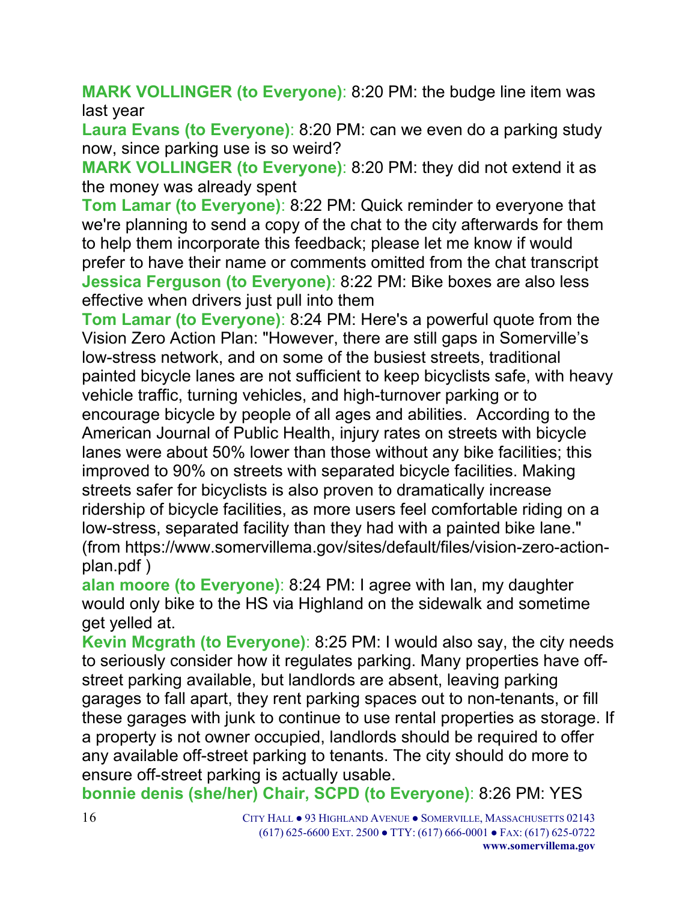**MARK VOLLINGER (to Everyone)**: 8:20 PM: the budge line item was last year

**Laura Evans (to Everyone)**: 8:20 PM: can we even do a parking study now, since parking use is so weird?

**MARK VOLLINGER (to Everyone)**: 8:20 PM: they did not extend it as the money was already spent

**Tom Lamar (to Everyone)**: 8:22 PM: Quick reminder to everyone that we're planning to send a copy of the chat to the city afterwards for them to help them incorporate this feedback; please let me know if would prefer to have their name or comments omitted from the chat transcript **Jessica Ferguson (to Everyone)**: 8:22 PM: Bike boxes are also less effective when drivers just pull into them

**Tom Lamar (to Everyone)**: 8:24 PM: Here's a powerful quote from the Vision Zero Action Plan: "However, there are still gaps in Somerville's low-stress network, and on some of the busiest streets, traditional painted bicycle lanes are not sufficient to keep bicyclists safe, with heavy vehicle traffic, turning vehicles, and high-turnover parking or to encourage bicycle by people of all ages and abilities. According to the American Journal of Public Health, injury rates on streets with bicycle lanes were about 50% lower than those without any bike facilities; this improved to 90% on streets with separated bicycle facilities. Making streets safer for bicyclists is also proven to dramatically increase ridership of bicycle facilities, as more users feel comfortable riding on a low-stress, separated facility than they had with a painted bike lane." (from https://www.somervillema.gov/sites/default/files/vision-zero-actionplan.pdf )

**alan moore (to Everyone)**: 8:24 PM: I agree with Ian, my daughter would only bike to the HS via Highland on the sidewalk and sometime get yelled at.

**Kevin Mcgrath (to Everyone)**: 8:25 PM: I would also say, the city needs to seriously consider how it regulates parking. Many properties have offstreet parking available, but landlords are absent, leaving parking garages to fall apart, they rent parking spaces out to non-tenants, or fill these garages with junk to continue to use rental properties as storage. If a property is not owner occupied, landlords should be required to offer any available off-street parking to tenants. The city should do more to ensure off-street parking is actually usable.

**bonnie denis (she/her) Chair, SCPD (to Everyone)**: 8:26 PM: YES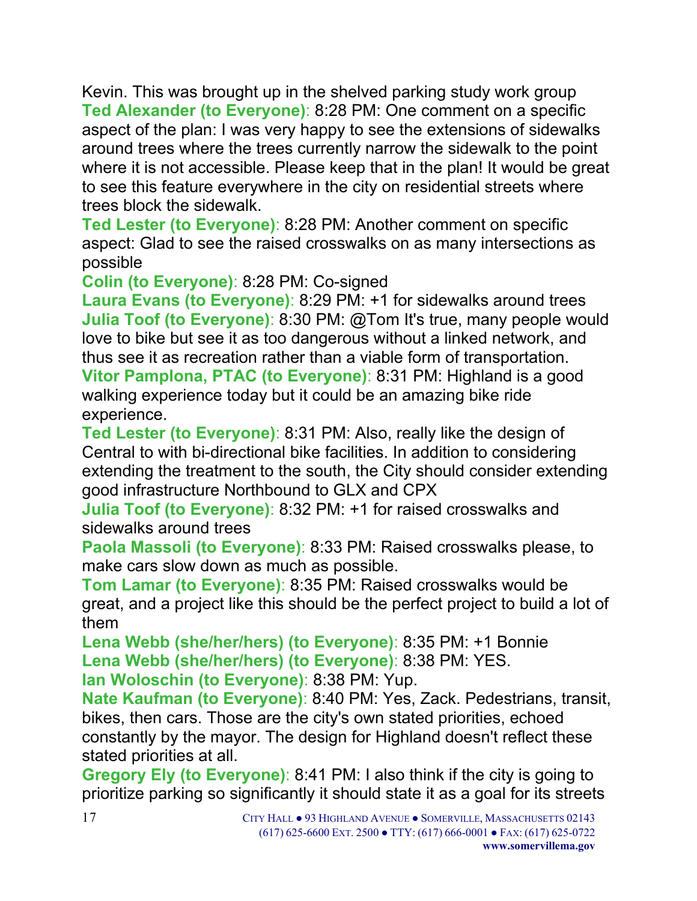Kevin. This was brought up in the shelved parking study work group **Ted Alexander (to Everyone)**: 8:28 PM: One comment on a specific aspect of the plan: I was very happy to see the extensions of sidewalks around trees where the trees currently narrow the sidewalk to the point where it is not accessible. Please keep that in the plan! It would be great to see this feature everywhere in the city on residential streets where trees block the sidewalk.

**Ted Lester (to Everyone)**: 8:28 PM: Another comment on specific aspect: Glad to see the raised crosswalks on as many intersections as possible

**Colin (to Everyone)**: 8:28 PM: Co-signed

**Laura Evans (to Everyone)**: 8:29 PM: +1 for sidewalks around trees **Julia Toof (to Everyone): 8:30 PM: @Tom It's true, many people would** love to bike but see it as too dangerous without a linked network, and thus see it as recreation rather than a viable form of transportation. **Vitor Pamplona, PTAC (to Everyone)**: 8:31 PM: Highland is a good

walking experience today but it could be an amazing bike ride experience.

**Ted Lester (to Everyone)**: 8:31 PM: Also, really like the design of Central to with bi-directional bike facilities. In addition to considering extending the treatment to the south, the City should consider extending good infrastructure Northbound to GLX and CPX

**Julia Toof (to Everyone)**: 8:32 PM: +1 for raised crosswalks and sidewalks around trees

**Paola Massoli (to Everyone)**: 8:33 PM: Raised crosswalks please, to make cars slow down as much as possible.

**Tom Lamar (to Everyone)**: 8:35 PM: Raised crosswalks would be great, and a project like this should be the perfect project to build a lot of them

**Lena Webb (she/her/hers) (to Everyone)**: 8:35 PM: +1 Bonnie **Lena Webb (she/her/hers) (to Everyone)**: 8:38 PM: YES.

**Ian Woloschin (to Everyone)**: 8:38 PM: Yup.

**Nate Kaufman (to Everyone)**: 8:40 PM: Yes, Zack. Pedestrians, transit, bikes, then cars. Those are the city's own stated priorities, echoed constantly by the mayor. The design for Highland doesn't reflect these stated priorities at all.

**Gregory Ely (to Everyone)**: 8:41 PM: I also think if the city is going to prioritize parking so significantly it should state it as a goal for its streets